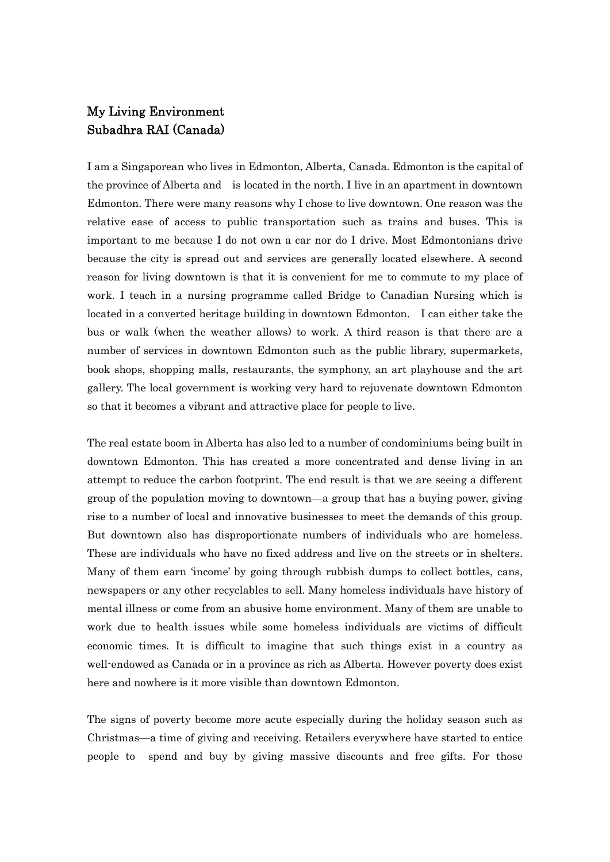## My Living Environment Subadhra RAI (Canada)

I am a Singaporean who lives in Edmonton, Alberta, Canada. Edmonton is the capital of the province of Alberta and is located in the north. I live in an apartment in downtown Edmonton. There were many reasons why I chose to live downtown. One reason was the relative ease of access to public transportation such as trains and buses. This is important to me because I do not own a car nor do I drive. Most Edmontonians drive because the city is spread out and services are generally located elsewhere. A second reason for living downtown is that it is convenient for me to commute to my place of work. I teach in a nursing programme called Bridge to Canadian Nursing which is located in a converted heritage building in downtown Edmonton. I can either take the bus or walk (when the weather allows) to work. A third reason is that there are a number of services in downtown Edmonton such as the public library, supermarkets, book shops, shopping malls, restaurants, the symphony, an art playhouse and the art gallery. The local government is working very hard to rejuvenate downtown Edmonton so that it becomes a vibrant and attractive place for people to live.

The real estate boom in Alberta has also led to a number of condominiums being built in downtown Edmonton. This has created a more concentrated and dense living in an attempt to reduce the carbon footprint. The end result is that we are seeing a different group of the population moving to downtown—a group that has a buying power, giving rise to a number of local and innovative businesses to meet the demands of this group. But downtown also has disproportionate numbers of individuals who are homeless. These are individuals who have no fixed address and live on the streets or in shelters. Many of them earn 'income' by going through rubbish dumps to collect bottles, cans, newspapers or any other recyclables to sell. Many homeless individuals have history of mental illness or come from an abusive home environment. Many of them are unable to work due to health issues while some homeless individuals are victims of difficult economic times. It is difficult to imagine that such things exist in a country as well-endowed as Canada or in a province as rich as Alberta. However poverty does exist here and nowhere is it more visible than downtown Edmonton.

The signs of poverty become more acute especially during the holiday season such as Christmas—a time of giving and receiving. Retailers everywhere have started to entice people to spend and buy by giving massive discounts and free gifts. For those